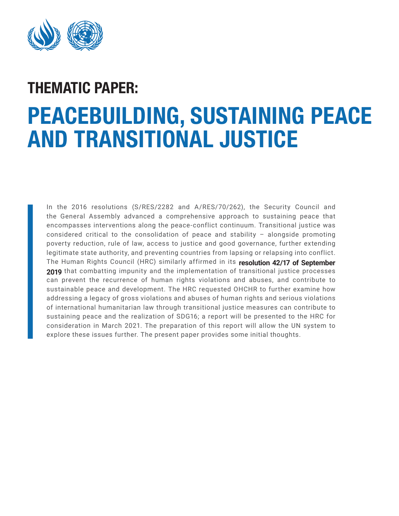

# PEACEBUILDING, SUSTAINING PEACE AND TRANSITIONAL JUSTICE THEMATIC PAPER:

In the 2016 resolutions (S/RES/2282 and A/RES/70/262), the Security Council and the General Assembly advanced a comprehensive approach to sustaining peace that encompasses interventions along the peace-conflict continuum. Transitional justice was considered critical to the consolidation of peace and stability – alongside promoting poverty reduction, rule of law, access to justice and good governance, further extending legitimate state authority, and preventing countries from lapsing or relapsing into conflict. The Human Rights Council (HRC) similarly affirmed in its **[resolution 42/17 of September](https://documents-dds-ny.un.org/doc/UNDOC/LTD/G19/282/29/PDF/G1928229.pdf?OpenElement)  [2019](https://documents-dds-ny.un.org/doc/UNDOC/LTD/G19/282/29/PDF/G1928229.pdf?OpenElement)** that combatting impunity and the implementation of transitional justice processes can prevent the recurrence of human rights violations and abuses, and contribute to sustainable peace and development. The HRC requested OHCHR to further examine how addressing a legacy of gross violations and abuses of human rights and serious violations of international humanitarian law through transitional justice measures can contribute to sustaining peace and the realization of SDG16; a report will be presented to the HRC for consideration in March 2021. The preparation of this report will allow the UN system to explore these issues further. The present paper provides some initial thoughts.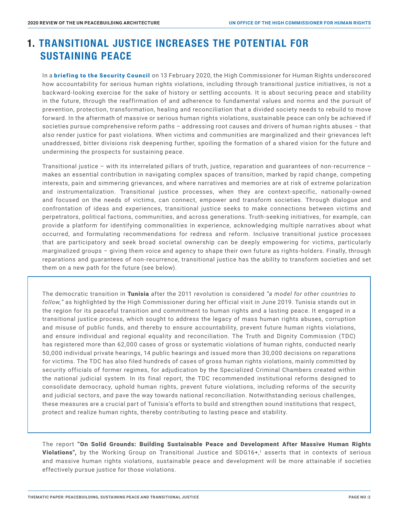## 1. TRANSITIONAL JUSTICE INCREASES THE POTENTIAL FOR SUSTAINING PEACE

In a [briefing to the Security Council](https://www.ohchr.org/EN/NewsEvents/Pages/DisplayNews.aspx?NewsID=25552&LangID=E)?) on 13 February 2020, the High Commissioner for Human Rights underscored how accountability for serious human rights violations, including through transitional justice initiatives, is not a backward-looking exercise for the sake of history or settling accounts. It is about securing peace and stability in the future, through the reaffirmation of and adherence to fundamental values and norms and the pursuit of prevention, protection, transformation, healing and reconciliation that a divided society needs to rebuild to move forward. In the aftermath of massive or serious human rights violations, sustainable peace can only be achieved if societies pursue comprehensive reform paths – addressing root causes and drivers of human rights abuses – that also render justice for past violations. When victims and communities are marginalized and their grievances left unaddressed, bitter divisions risk deepening further, spoiling the formation of a shared vision for the future and undermining the prospects for sustaining peace.

 Transitional justice – with its interrelated pillars of truth, justice, reparation and guarantees of non-recurrence – makes an essential contribution in navigating complex spaces of transition, marked by rapid change, competing interests, pain and simmering grievances, and where narratives and memories are at risk of extreme polarization and instrumentalization. Transitional justice processes, when they are context-specific, nationally-owned and focused on the needs of victims, can connect, empower and transform societies. Through dialogue and confrontation of ideas and experiences, transitional justice seeks to make connections between victims and perpetrators, political factions, communities, and across generations. Truth-seeking initiatives, for example, can provide a platform for identifying commonalities in experience, acknowledging multiple narratives about what occurred, and formulating recommendations for redress and reform. Inclusive transitional justice processes that are participatory and seek broad societal ownership can be deeply empowering for victims, particularly marginalized groups – giving them voice and agency to shape their own future as rights-holders. Finally, through reparations and guarantees of non-recurrence, transitional justice has the ability to transform societies and set them on a new path for the future (see below).

The democratic transition in Tunisia after the 2011 revolution is considered *"a model for other countries to follow,"* as highlighted by the High Commissioner during her official visit in June 2019. Tunisia stands out in the region for its peaceful transition and commitment to human rights and a lasting peace. It engaged in a transitional justice process, which sought to address the legacy of mass human rights abuses, corruption and misuse of public funds, and thereby to ensure accountability, prevent future human rights violations, and ensure individual and regional equality and reconciliation. The Truth and Dignity Commission (TDC) has registered more than 62,000 cases of gross or systematic violations of human rights, conducted nearly 50,000 individual private hearings, 14 public hearings and issued more than 30,000 decisions on reparations for victims. The TDC has also filed hundreds of cases of gross human rights violations, mainly committed by security officials of former regimes, for adjudication by the Specialized Criminal Chambers created within the national judicial system. In its final report, the TDC recommended institutional reforms designed to consolidate democracy, uphold human rights, prevent future violations, including reforms of the security and judicial sectors, and pave the way towards national reconciliation. Notwithstanding serious challenges, these measures are a crucial part of Tunisia's efforts to build and strengthen sound institutions that respect, protect and realize human rights, thereby contributing to lasting peace and stability.

The report "On Solid Grounds: Building Sustainable Peace and Development After Massive Human Rights Violations", by the Working Group on Transitional Justice and SDG16+,<sup>1</sup> asserts that in contexts of serious and massive human rights violations, sustainable peace and development will be more attainable if societies effectively pursue justice for those violations.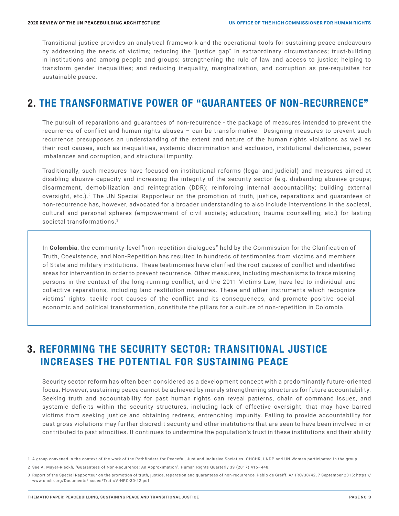Transitional justice provides an analytical framework and the operational tools for sustaining peace endeavours by addressing the needs of victims; reducing the "justice gap" in extraordinary circumstances; trust-building in institutions and among people and groups; strengthening the rule of law and access to justice; helping to transform gender inequalities; and reducing inequality, marginalization, and corruption as pre-requisites for sustainable peace.

#### 2. THE TRANSFORMATIVE POWER OF "GUARANTEES OF NON-RECURRENCE"

The pursuit of reparations and guarantees of non-recurrence - the package of measures intended to prevent the recurrence of conflict and human rights abuses – can be transformative. Designing measures to prevent such recurrence presupposes an understanding of the extent and nature of the human rights violations as well as their root causes, such as inequalities, systemic discrimination and exclusion, institutional deficiencies, power imbalances and corruption, and structural impunity.

 Traditionally, such measures have focused on institutional reforms (legal and judicial) and measures aimed at disabling abusive capacity and increasing the integrity of the security sector (e.g. disbanding abusive groups; disarmament, demobilization and reintegration (DDR); reinforcing internal accountability; building external oversight, etc.).2 The UN Special Rapporteur on the promotion of truth, justice, reparations and guarantees of non-recurrence has, however, advocated for a broader understanding to also include interventions in the societal, cultural and personal spheres (empowerment of civil society; education; trauma counselling; etc.) for lasting societal transformations.<sup>3</sup>

In Colombia, the community-level "non-repetition dialogues" held by the Commission for the Clarification of Truth, Coexistence, and Non-Repetition has resulted in hundreds of testimonies from victims and members of State and military institutions. These testimonies have clarified the root causes of conflict and identified areas for intervention in order to prevent recurrence. Other measures, including mechanisms to trace missing persons in the context of the long-running conflict, and the 2011 Victims Law, have led to individual and collective reparations, including land restitution measures. These and other instruments which recognize victims' rights, tackle root causes of the conflict and its consequences, and promote positive social, economic and political transformation, constitute the pillars for a culture of non-repetition in Colombia.

#### 3. REFORMING THE SECURITY SECTOR: TRANSITIONAL JUSTICE INCREASES THE POTENTIAL FOR SUSTAINING PEACE

Security sector reform has often been considered as a development concept with a predominantly future-oriented focus. However, sustaining peace cannot be achieved by merely strengthening structures for future accountability. Seeking truth and accountability for past human rights can reveal patterns, chain of command issues, and systemic deficits within the security structures, including lack of effective oversight, that may have barred victims from seeking justice and obtaining redress, entrenching impunity. Failing to provide accountability for past gross violations may further discredit security and other institutions that are seen to have been involved in or contributed to past atrocities. It continues to undermine the population's trust in these institutions and their ability

<sup>1</sup> A group convened in the context of the work of the Pathfinders for Peaceful, Just and Inclusive Societies. OHCHR, UNDP and UN Women participated in the group.

<sup>2</sup> See A. Mayer-Rieckh, "Guarantees of Non-Recurrence: An Approximation", Human Rights Quarterly 39 (2017) 416–448.

<sup>3</sup> Report of the Special Rapporteur on the promotion of truth, justice, reparation and guarantees of non-recurrence, Pablo de Greiff, A/HRC/30/42, 7 September 2015: https:// www.ohchr.org/Documents/Issues/Truth/A-HRC-30-42.pdf